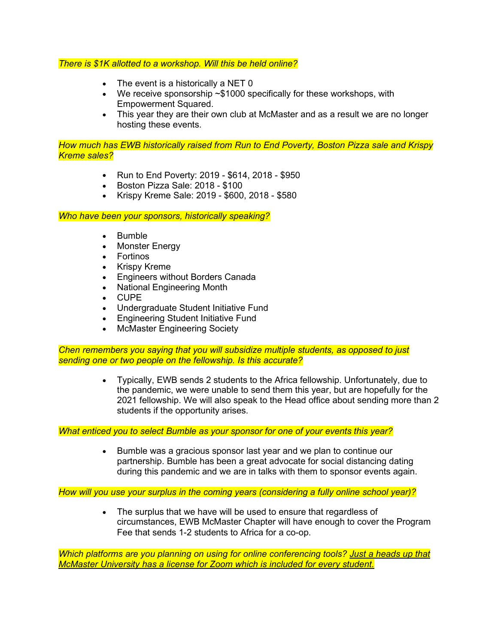### *There is \$1K allotted to a workshop. Will this be held online?*

- The event is a historically a NET 0
- We receive sponsorship ~\$1000 specifically for these workshops, with Empowerment Squared.
- This year they are their own club at McMaster and as a result we are no longer hosting these events.

*How much has EWB historically raised from Run to End Poverty, Boston Pizza sale and Krispy Kreme sales?*

- Run to End Poverty: 2019 \$614, 2018 \$950
- Boston Pizza Sale: 2018 \$100
- Krispy Kreme Sale: 2019 \$600, 2018 \$580

*Who have been your sponsors, historically speaking?*

- Bumble
- Monster Energy
- Fortinos
- Krispy Kreme
- Engineers without Borders Canada
- National Engineering Month
- CUPE
- Undergraduate Student Initiative Fund
- Engineering Student Initiative Fund
- McMaster Engineering Society

*Chen remembers you saying that you will subsidize multiple students, as opposed to just sending one or two people on the fellowship. Is this accurate?*

> • Typically, EWB sends 2 students to the Africa fellowship. Unfortunately, due to the pandemic, we were unable to send them this year, but are hopefully for the 2021 fellowship. We will also speak to the Head office about sending more than 2 students if the opportunity arises.

*What enticed you to select Bumble as your sponsor for one of your events this year?*

• Bumble was a gracious sponsor last year and we plan to continue our partnership. Bumble has been a great advocate for social distancing dating during this pandemic and we are in talks with them to sponsor events again.

*How will you use your surplus in the coming years (considering a fully online school year)?*

• The surplus that we have will be used to ensure that regardless of circumstances, EWB McMaster Chapter will have enough to cover the Program Fee that sends 1-2 students to Africa for a co-op.

*Which platforms are you planning on using for online conferencing tools? Just a heads up that McMaster University has a license for Zoom which is included for every student.*